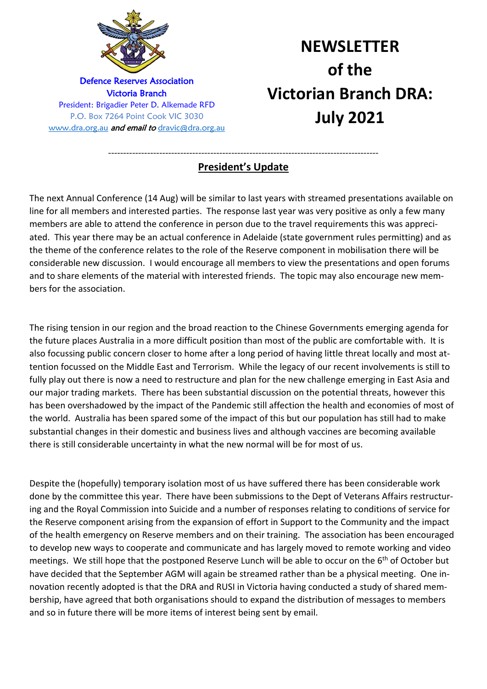

# **NEWSLETTER of the Victorian Branch DRA: July 2021**

#### ------------------------------------------------------------------------------------------ **President's Update**

The next Annual Conference (14 Aug) will be similar to last years with streamed presentations available on line for all members and interested parties. The response last year was very positive as only a few many members are able to attend the conference in person due to the travel requirements this was appreciated. This year there may be an actual conference in Adelaide (state government rules permitting) and as the theme of the conference relates to the role of the Reserve component in mobilisation there will be considerable new discussion. I would encourage all members to view the presentations and open forums and to share elements of the material with interested friends. The topic may also encourage new members for the association.

The rising tension in our region and the broad reaction to the Chinese Governments emerging agenda for the future places Australia in a more difficult position than most of the public are comfortable with. It is also focussing public concern closer to home after a long period of having little threat locally and most attention focussed on the Middle East and Terrorism. While the legacy of our recent involvements is still to fully play out there is now a need to restructure and plan for the new challenge emerging in East Asia and our major trading markets. There has been substantial discussion on the potential threats, however this has been overshadowed by the impact of the Pandemic still affection the health and economies of most of the world. Australia has been spared some of the impact of this but our population has still had to make substantial changes in their domestic and business lives and although vaccines are becoming available there is still considerable uncertainty in what the new normal will be for most of us.

Despite the (hopefully) temporary isolation most of us have suffered there has been considerable work done by the committee this year. There have been submissions to the Dept of Veterans Affairs restructuring and the Royal Commission into Suicide and a number of responses relating to conditions of service for the Reserve component arising from the expansion of effort in Support to the Community and the impact of the health emergency on Reserve members and on their training. The association has been encouraged to develop new ways to cooperate and communicate and has largely moved to remote working and video meetings. We still hope that the postponed Reserve Lunch will be able to occur on the 6<sup>th</sup> of October but have decided that the September AGM will again be streamed rather than be a physical meeting. One innovation recently adopted is that the DRA and RUSI in Victoria having conducted a study of shared membership, have agreed that both organisations should to expand the distribution of messages to members and so in future there will be more items of interest being sent by email.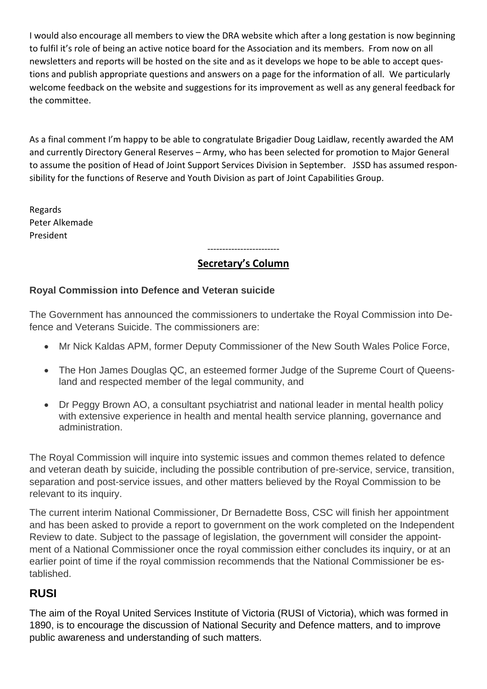I would also encourage all members to view the DRA website which after a long gestation is now beginning to fulfil it's role of being an active notice board for the Association and its members. From now on all newsletters and reports will be hosted on the site and as it develops we hope to be able to accept questions and publish appropriate questions and answers on a page for the information of all. We particularly welcome feedback on the website and suggestions for its improvement as well as any general feedback for the committee.

As a final comment I'm happy to be able to congratulate Brigadier Doug Laidlaw, recently awarded the AM and currently Directory General Reserves – Army, who has been selected for promotion to Major General to assume the position of Head of Joint Support Services Division in September. JSSD has assumed responsibility for the functions of Reserve and Youth Division as part of Joint Capabilities Group.

Regards Peter Alkemade President

#### ------------------------ **Secretary's Column**

#### **Royal Commission into Defence and Veteran suicide**

The Government has announced the commissioners to undertake the Royal Commission into Defence and Veterans Suicide. The commissioners are:

- Mr Nick Kaldas APM, former Deputy Commissioner of the New South Wales Police Force,
- The Hon James Douglas QC, an esteemed former Judge of the Supreme Court of Queensland and respected member of the legal community, and
- Dr Peggy Brown AO, a consultant psychiatrist and national leader in mental health policy with extensive experience in health and mental health service planning, governance and administration.

The Royal Commission will inquire into systemic issues and common themes related to defence and veteran death by suicide, including the possible contribution of pre-service, service, transition, separation and post-service issues, and other matters believed by the Royal Commission to be relevant to its inquiry.

The current interim National Commissioner, Dr Bernadette Boss, CSC will finish her appointment and has been asked to provide a report to government on the work completed on the Independent Review to date. Subject to the passage of legislation, the government will consider the appointment of a National Commissioner once the royal commission either concludes its inquiry, or at an earlier point of time if the royal commission recommends that the National Commissioner be established.

# **RUSI**

The aim of the Royal United Services Institute of Victoria (RUSI of Victoria), which was formed in 1890, is to encourage the discussion of National Security and Defence matters, and to improve public awareness and understanding of such matters.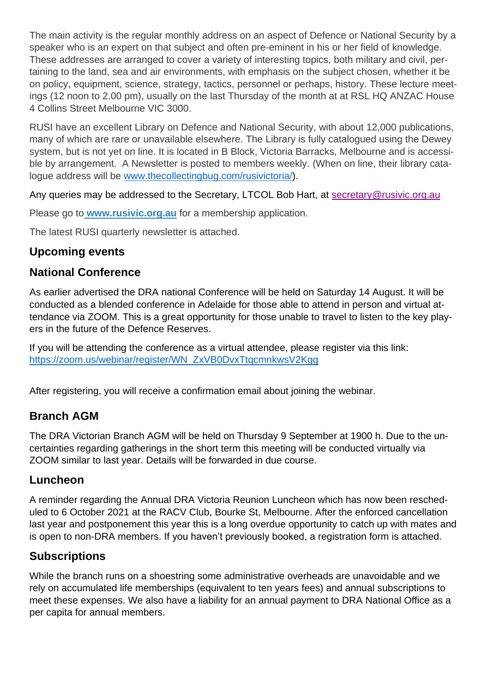The main activity is the regular monthly address on an aspect of Defence or National Security by a speaker who is an expert on that subject and often pre-eminent in his or her field of knowledge. These addresses are arranged to cover a variety of interesting topics, both military and civil, pertaining to the land, sea and air environments, with emphasis on the subject chosen, whether it be on policy, equipment, science, strategy, tactics, personnel or perhaps, history. These lecture meetings (12 noon to 2.00 pm), usually on the last Thursday of the month at at RSL HQ ANZAC House 4 Collins Street Melbourne VIC 3000.

RUSI have an excellent Library on Defence and National Security, with about 12,000 publications, many of which are rare or unavailable elsewhere. The Library is fully catalogued using the Dewey system, but is not yet on line. It is located in B Block, Victoria Barracks, Melbourne and is accessible by arrangement. A Newsletter is posted to members weekly. (When on line, their library catalogue address will be [www.thecollectingbug.com/rusivictoria/\)](http://www.thecollectingbug.com/rusivictoria/).

Any queries may be addressed to the Secretary, LTCOL Bob Hart, at secretary@rusivic.org.au

Please go to **[www.rusivic.org.au](https://www.bing.com/search?q=www.rusivic.org.au&pc=cosp&ptag=G6C999N1234D010317A316A5D3C6E&form=CONBDF&conlogo=CT3210127)** for a membership application.

The latest RUSI quarterly newsletter is attached.

# **Upcoming events**

## **National Conference**

As earlier advertised the DRA national Conference will be held on Saturday 14 August. It will be conducted as a blended conference in Adelaide for those able to attend in person and virtual attendance via ZOOM. This is a great opportunity for those unable to travel to listen to the key players in the future of the Defence Reserves.

If you will be attending the conference as a virtual attendee, please register via this link: [https://zoom.us/webinar/register/WN\\_ZxVB0DvxTtqcmnkwsV2Kgg](https://zoom.us/webinar/register/WN_ZxVB0DvxTtqcmnkwsV2Kgg)

After registering, you will receive a confirmation email about joining the webinar.

# **Branch AGM**

The DRA Victorian Branch AGM will be held on Thursday 9 September at 1900 h. Due to the uncertainties regarding gatherings in the short term this meeting will be conducted virtually via ZOOM similar to last year. Details will be forwarded in due course.

## **Luncheon**

A reminder regarding the Annual DRA Victoria Reunion Luncheon which has now been rescheduled to 6 October 2021 at the RACV Club, Bourke St, Melbourne. After the enforced cancellation last year and postponement this year this is a long overdue opportunity to catch up with mates and is open to non-DRA members. If you haven't previously booked, a registration form is attached.

## **Subscriptions**

While the branch runs on a shoestring some administrative overheads are unavoidable and we rely on accumulated life memberships (equivalent to ten years fees) and annual subscriptions to meet these expenses. We also have a liability for an annual payment to DRA National Office as a per capita for annual members.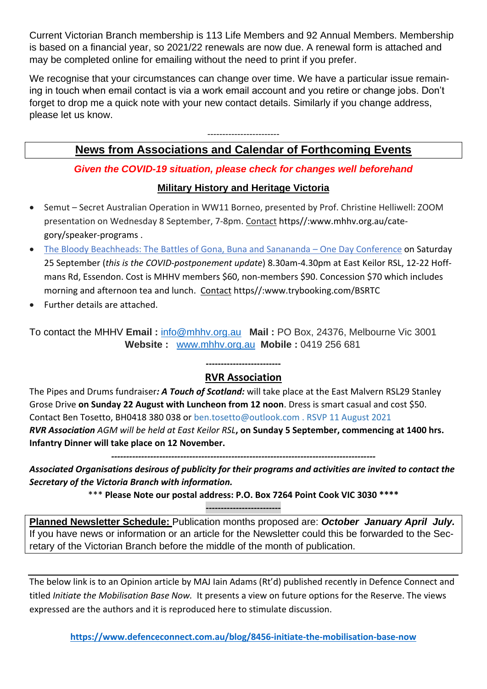Current Victorian Branch membership is 113 Life Members and 92 Annual Members. Membership is based on a financial year, so 2021/22 renewals are now due. A renewal form is attached and may be completed online for emailing without the need to print if you prefer.

We recognise that your circumstances can change over time. We have a particular issue remaining in touch when email contact is via a work email account and you retire or change jobs. Don't forget to drop me a quick note with your new contact details. Similarly if you change address, please let us know.

## ------------------------ **News from Associations and Calendar of Forthcoming Events**

## *Given the COVID-19 situation, please check for changes well beforehand*

## **Military History and Heritage Victoria**

- Semut Secret Australian Operation in WW11 Borneo, presented by Prof. Christine Helliwell: ZOOM presentation on Wednesday 8 September, 7-8pm. Contact https//:www.mhhv.org.au/category/speaker-programs .
- [The Bloody Beachheads: The Battles of Gona, Buna and Sanananda](https://mhhv.us13.list-manage.com/track/click?u=67dff6650263d83ccd36abb8e&id=d8b6a335d3&e=82e1d7de02)  One Day Conference on Saturday 25 September (*this is the COVID-postponement update*) 8.30am-4.30pm at East Keilor RSL, 12-22 Hoffmans Rd, Essendon. Cost is MHHV members \$60, non-members \$90. Concession \$70 which includes morning and afternoon tea and lunch. Contact https//:www.trybooking.com/BSRTC
- Further details are attached.

To contact the MHHV **Email :** [info@mhhv.org.au](mailto:info@mhhv.org.au) **Mail :** PO Box, 24376, Melbourne Vic 3001  **Website :** [www.mhhv.org.au](http://www.mhhv.org.au/) **Mobile :** 0419 256 681

#### **------------------------- RVR Association**

The Pipes and Drums fundraiser*: A Touch of Scotland:* will take place at the East Malvern RSL29 Stanley Grose Drive **on Sunday 22 August with Luncheon from 12 noon**. Dress is smart casual and cost \$50. Contact Ben Tosetto, BH0418 380 038 or ben.tosetto@outlook.com . RSVP 11 August 2021 *RVR Association AGM will be held at East Keilor RSL***, on Sunday 5 September, commencing at 1400 hrs. Infantry Dinner will take place on 12 November.** 

*Associated Organisations desirous of publicity for their programs and activities are invited to contact the Secretary of the Victoria Branch with information.* 

*----------------------------------------------------------------------------------------*

\*\*\* **Please Note our postal address: P.O. Box 7264 Point Cook VIC 3030 \*\*\*\***

**-------------------------**

**Planned Newsletter Schedule:** Publication months proposed are: *October January April July.*  If you have news or information or an article for the Newsletter could this be forwarded to the Secretary of the Victorian Branch before the middle of the month of publication.

The below link is to an Opinion article by MAJ Iain Adams (Rt'd) published recently in Defence Connect and titled *Initiate the Mobilisation Base Now.* It presents a view on future options for the Reserve. The views expressed are the authors and it is reproduced here to stimulate discussion.

**<https://www.defenceconnect.com.au/blog/8456-initiate-the-mobilisation-base-now>**